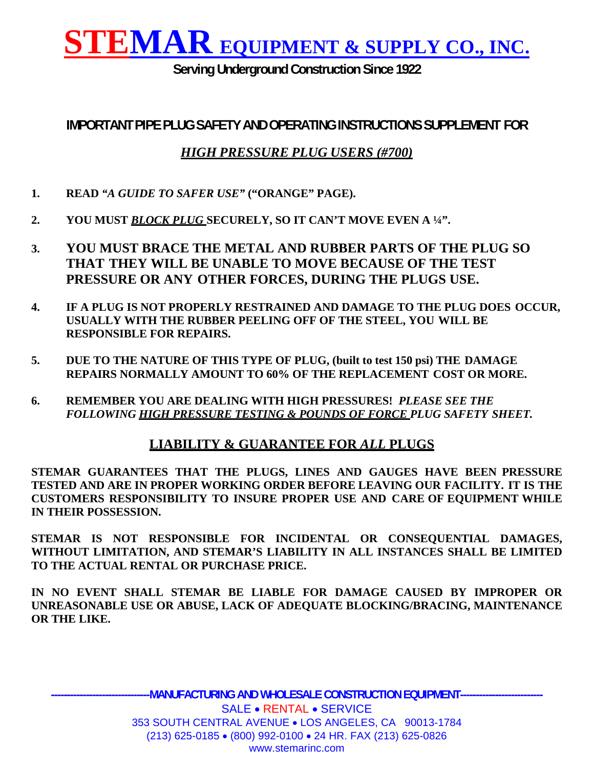**Serving Underground Construction Since 1922** 

**IMPORTANT PIPE PLUG SAFETY AND OPERATING INSTRUCTIONS SUPPLEMENT FOR**

#### *HIGH PRESSURE PLUG USERS (#700)*

- **1. READ** *"A GUIDE TO SAFER USE"* **("ORANGE" PAGE).**
- **2. YOU MUST** *BLOCK PLUG* **SECURELY, SO IT CAN'T MOVE EVEN A ¼".**
- **3. YOU MUST BRACE THE METAL AND RUBBER PARTS OF THE PLUG SO THAT THEY WILL BE UNABLE TO MOVE BECAUSE OF THE TEST PRESSURE OR ANY OTHER FORCES, DURING THE PLUGS USE.**
- **4. IF A PLUG IS NOT PROPERLY RESTRAINED AND DAMAGE TO THE PLUG DOES OCCUR, USUALLY WITH THE RUBBER PEELING OFF OF THE STEEL, YOU WILL BE RESPONSIBLE FOR REPAIRS.**
- **5. DUE TO THE NATURE OF THIS TYPE OF PLUG, (built to test 150 psi) THE DAMAGE REPAIRS NORMALLY AMOUNT TO 60% OF THE REPLACEMENT COST OR MORE.**
- **6. REMEMBER YOU ARE DEALING WITH HIGH PRESSURES!** *PLEASE SEE THE FOLLOWING HIGH PRESSURE TESTING & POUNDS OF FORCE PLUG SAFETY SHEET.*

#### **LIABILITY & GUARANTEE FOR** *ALL* **PLUGS**

**STEMAR GUARANTEES THAT THE PLUGS, LINES AND GAUGES HAVE BEEN PRESSURE TESTED AND ARE IN PROPER WORKING ORDER BEFORE LEAVING OUR FACILITY. IT IS THE CUSTOMERS RESPONSIBILITY TO INSURE PROPER USE AND CARE OF EQUIPMENT WHILE IN THEIR POSSESSION.**

**STEMAR IS NOT RESPONSIBLE FOR INCIDENTAL OR CONSEQUENTIAL DAMAGES, WITHOUT LIMITATION, AND STEMAR'S LIABILITY IN ALL INSTANCES SHALL BE LIMITED TO THE ACTUAL RENTAL OR PURCHASE PRICE.**

**IN NO EVENT SHALL STEMAR BE LIABLE FOR DAMAGE CAUSED BY IMPROPER OR UNREASONABLE USE OR ABUSE, LACK OF ADEQUATE BLOCKING/BRACING, MAINTENANCE OR THE LIKE.**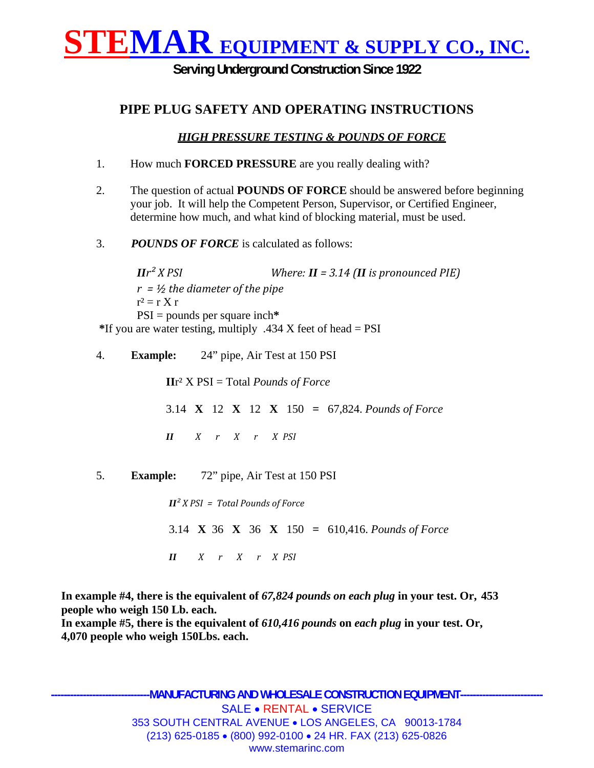**Serving Underground Construction Since 1922** 

#### **PIPE PLUG SAFETY AND OPERATING INSTRUCTIONS**

#### *HIGH PRESSURE TESTING & POUNDS OF FORCE*

- 1. How much **FORCED PRESSURE** are you really dealing with?
- 2. The question of actual **POUNDS OF FORCE** should be answered before beginning your job. It will help the Competent Person, Supervisor, or Certified Engineer, determine how much, and what kind of blocking material, must be used.
- 3. *POUNDS OF FORCE* is calculated as follows:

*II*<sup>*r*</sup><sup>2</sup> *X PSI*  $\blacksquare$  *Where: II* = 3.14 *(II is pronounced PIE) r = ½ the diameter of the pipe*  $r^2 = r X r$ PSI = pounds per square inch**\* \***If you are water testing, multiply .434 X feet of head = PSI

4. **Example:** 24" pipe, Air Test at 150 PSI

**II**r² X PSI = Total *Pounds of Force*

- 3.14 **X** 12 **X** 12 **X** 150 **=** 67,824. *Pounds of Force*
- *II X r X r X PSI*
- 5. **Example:** 72" pipe, Air Test at 150 PSI

 $I\mathbf{I}^2$  *X PSI* = *Total Pounds of Force* 3.14 **X** 36 **X** 36 **X** 150 **=** 610,416. *Pounds of Force II X r X r X PSI*

**In example #4, there is the equivalent of** *67,824 pounds on each plug* **in your test. Or, 453 people who weigh 150 Lb. each.**

**In example #5, there is the equivalent of** *610,416 pounds* **on** *each plug* **in your test. Or, 4,070 people who weigh 150Lbs. each.**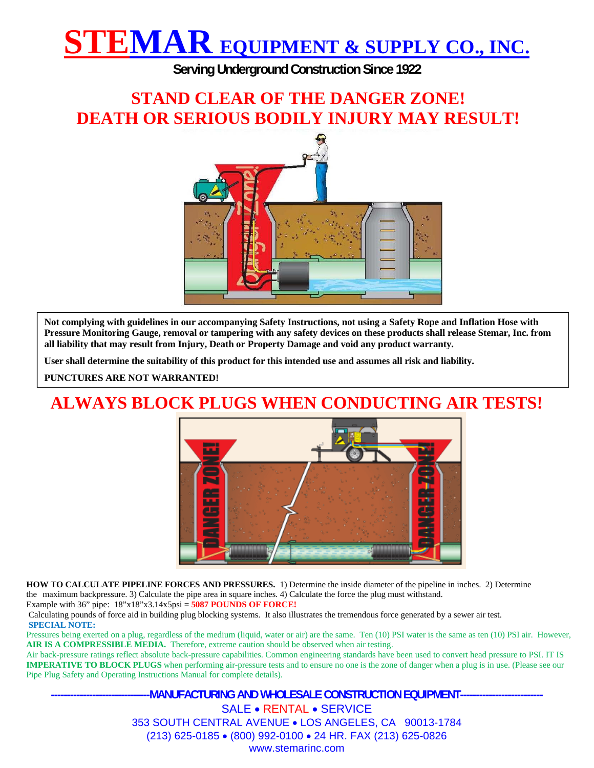**Serving Underground Construction Since 1922** 

### **STAND CLEAR OF THE DANGER ZONE! DEATH OR SERIOUS BODILY INJURY MAY RESULT!**



**Not complying with guidelines in our accompanying Safety Instructions, not using a Safety Rope and Inflation Hose with Pressure Monitoring Gauge, removal or tampering with any safety devices on these products shall release Stemar, Inc. from all liability that may result from Injury, Death or Property Damage and void any product warranty.**

**User shall determine the suitability of this product for this intended use and assumes all risk and liability.** 

**PUNCTURES ARE NOT WARRANTED!**

## **ALWAYS BLOCK PLUGS WHEN CONDUCTING AIR TESTS!**



**HOW TO CALCULATE PIPELINE FORCES AND PRESSURES.** 1) Determine the inside diameter of the pipeline in inches. 2) Determine the maximum backpressure. 3) Calculate the pipe area in square inches. 4) Calculate the force the plug must withstand.

Example with 36" pipe: 18"x18"x3.14x5psi = **5087 POUNDS OF FORCE!**

Calculating pounds of force aid in building plug blocking systems. It also illustrates the tremendous force generated by a sewer air test. **SPECIAL NOTE:**

Pressures being exerted on a plug, regardless of the medium (liquid, water or air) are the same. Ten (10) PSI water is the same as ten (10) PSI air. However, **AIR IS A COMPRESSIBLE MEDIA.** Therefore, extreme caution should be observed when air testing.

Air back-pressure ratings reflect absolute back-pressure capabilities. Common engineering standards have been used to convert head pressure to PSI. IT IS **IMPERATIVE TO BLOCK PLUGS** when performing air-pressure tests and to ensure no one is the zone of danger when a plug is in use. (Please see our Pipe Plug Safety and Operating Instructions Manual for complete details).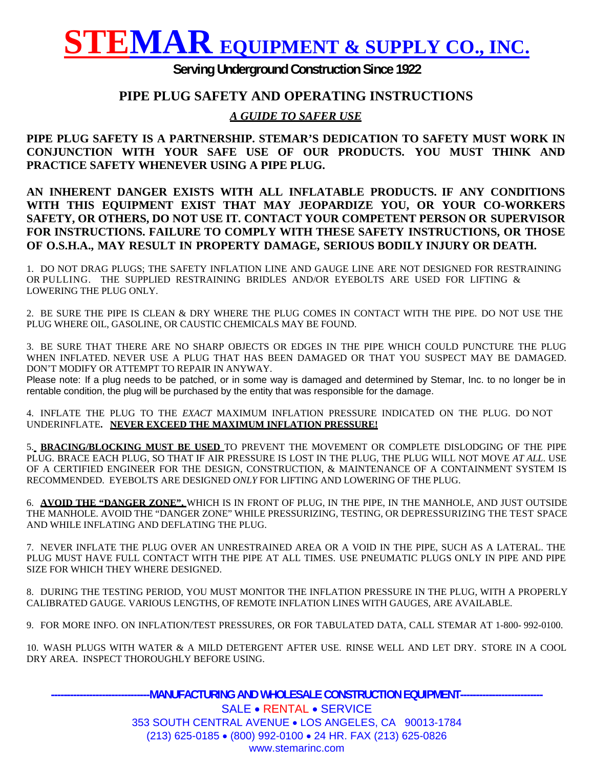#### **Serving Underground Construction Since 1922**

#### **PIPE PLUG SAFETY AND OPERATING INSTRUCTIONS**

#### *A GUIDE TO SAFER USE*

**PIPE PLUG SAFETY IS A PARTNERSHIP. STEMAR'S DEDICATION TO SAFETY MUST WORK IN CONJUNCTION WITH YOUR SAFE USE OF OUR PRODUCTS. YOU MUST THINK AND PRACTICE SAFETY WHENEVER USING A PIPE PLUG.**

**AN INHERENT DANGER EXISTS WITH ALL INFLATABLE PRODUCTS. IF ANY CONDITIONS WITH THIS EQUIPMENT EXIST THAT MAY JEOPARDIZE YOU, OR YOUR CO-WORKERS SAFETY, OR OTHERS, DO NOT USE IT. CONTACT YOUR COMPETENT PERSON OR SUPERVISOR FOR INSTRUCTIONS. FAILURE TO COMPLY WITH THESE SAFETY INSTRUCTIONS, OR THOSE OF O.S.H.A., MAY RESULT IN PROPERTY DAMAGE, SERIOUS BODILY INJURY OR DEATH.**

1. DO NOT DRAG PLUGS; THE SAFETY INFLATION LINE AND GAUGE LINE ARE NOT DESIGNED FOR RESTRAINING OR PULLING. THE SUPPLIED RESTRAINING BRIDLES AND/OR EYEBOLTS ARE USED FOR LIFTING & LOWERING THE PLUG ONLY.

2. BE SURE THE PIPE IS CLEAN & DRY WHERE THE PLUG COMES IN CONTACT WITH THE PIPE. DO NOT USE THE PLUG WHERE OIL, GASOLINE, OR CAUSTIC CHEMICALS MAY BE FOUND.

3. BE SURE THAT THERE ARE NO SHARP OBJECTS OR EDGES IN THE PIPE WHICH COULD PUNCTURE THE PLUG WHEN INFLATED. NEVER USE A PLUG THAT HAS BEEN DAMAGED OR THAT YOU SUSPECT MAY BE DAMAGED. DON'T MODIFY OR ATTEMPT TO REPAIR IN ANYWAY.

Please note: If a plug needs to be patched, or in some way is damaged and determined by Stemar, Inc. to no longer be in rentable condition, the plug will be purchased by the entity that was responsible for the damage.

4. INFLATE THE PLUG TO THE *EXACT* MAXIMUM INFLATION PRESSURE INDICATED ON THE PLUG. DO NOT UNDERINFLATE**. NEVER EXCEED THE MAXIMUM INFLATION PRESSURE!**

5. **BRACING/BLOCKING MUST BE USED** TO PREVENT THE MOVEMENT OR COMPLETE DISLODGING OF THE PIPE PLUG. BRACE EACH PLUG, SO THAT IF AIR PRESSURE IS LOST IN THE PLUG, THE PLUG WILL NOT MOVE *AT ALL*. USE OF A CERTIFIED ENGINEER FOR THE DESIGN, CONSTRUCTION, & MAINTENANCE OF A CONTAINMENT SYSTEM IS RECOMMENDED. EYEBOLTS ARE DESIGNED *ONLY* FOR LIFTING AND LOWERING OF THE PLUG.

6. **AVOID THE "DANGER ZONE",** WHICH IS IN FRONT OF PLUG, IN THE PIPE, IN THE MANHOLE, AND JUST OUTSIDE THE MANHOLE. AVOID THE "DANGER ZONE" WHILE PRESSURIZING, TESTING, OR DEPRESSURIZING THE TEST SPACE AND WHILE INFLATING AND DEFLATING THE PLUG.

7. NEVER INFLATE THE PLUG OVER AN UNRESTRAINED AREA OR A VOID IN THE PIPE, SUCH AS A LATERAL. THE PLUG MUST HAVE FULL CONTACT WITH THE PIPE AT ALL TIMES. USE PNEUMATIC PLUGS ONLY IN PIPE AND PIPE SIZE FOR WHICH THEY WHERE DESIGNED.

8. DURING THE TESTING PERIOD, YOU MUST MONITOR THE INFLATION PRESSURE IN THE PLUG, WITH A PROPERLY CALIBRATED GAUGE. VARIOUS LENGTHS, OF REMOTE INFLATION LINES WITH GAUGES, ARE AVAILABLE.

9. FOR MORE INFO. ON INFLATION/TEST PRESSURES, OR FOR TABULATED DATA, CALL STEMAR AT 1-800- 992-0100.

10. WASH PLUGS WITH WATER & A MILD DETERGENT AFTER USE. RINSE WELL AND LET DRY. STORE IN A COOL DRY AREA. INSPECT THOROUGHLY BEFORE USING.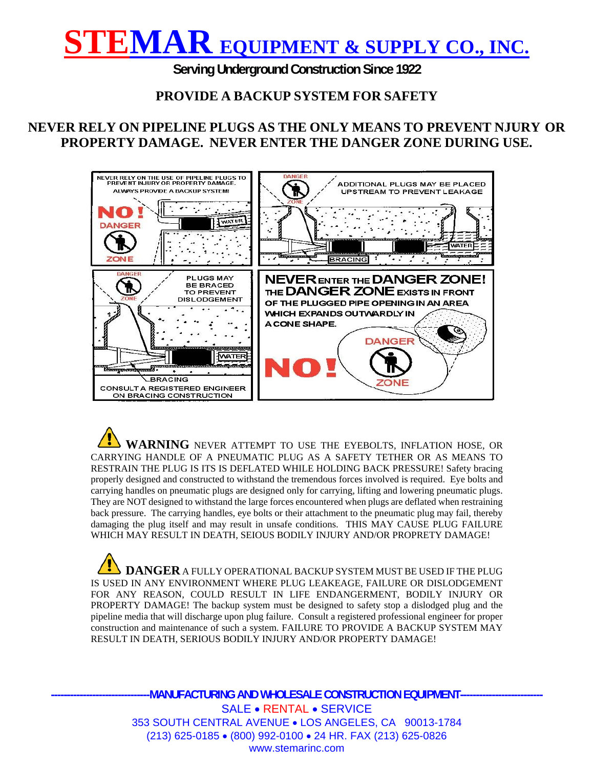**Serving Underground Construction Since 1922** 

#### **PROVIDE A BACKUP SYSTEM FOR SAFETY**

#### **NEVER RELY ON PIPELINE PLUGS AS THE ONLY MEANS TO PREVENT NJURY OR PROPERTY DAMAGE. NEVER ENTER THE DANGER ZONE DURING USE.**



 **WARNING** NEVER ATTEMPT TO USE THE EYEBOLTS, INFLATION HOSE, OR CARRYING HANDLE OF A PNEUMATIC PLUG AS A SAFETY TETHER OR AS MEANS TO RESTRAIN THE PLUG IS ITS IS DEFLATED WHILE HOLDING BACK PRESSURE! Safety bracing properly designed and constructed to withstand the tremendous forces involved is required. Eye bolts and carrying handles on pneumatic plugs are designed only for carrying, lifting and lowering pneumatic plugs. They are NOT designed to withstand the large forces encountered when plugs are deflated when restraining back pressure. The carrying handles, eye bolts or their attachment to the pneumatic plug may fail, thereby damaging the plug itself and may result in unsafe conditions. THIS MAY CAUSE PLUG FAILURE WHICH MAY RESULT IN DEATH, SEIOUS BODILY INJURY AND/OR PROPRETY DAMAGE!

**DANGER** A FULLY OPERATIONAL BACKUP SYSTEM MUST BE USED IF THE PLUG IS USED IN ANY ENVIRONMENT WHERE PLUG LEAKEAGE, FAILURE OR DISLODGEMENT FOR ANY REASON, COULD RESULT IN LIFE ENDANGERMENT, BODILY INJURY OR PROPERTY DAMAGE! The backup system must be designed to safety stop a dislodged plug and the pipeline media that will discharge upon plug failure. Consult a registered professional engineer for proper construction and maintenance of such a system. FAILURE TO PROVIDE A BACKUP SYSTEM MAY RESULT IN DEATH, SERIOUS BODILY INJURY AND/OR PROPERTY DAMAGE!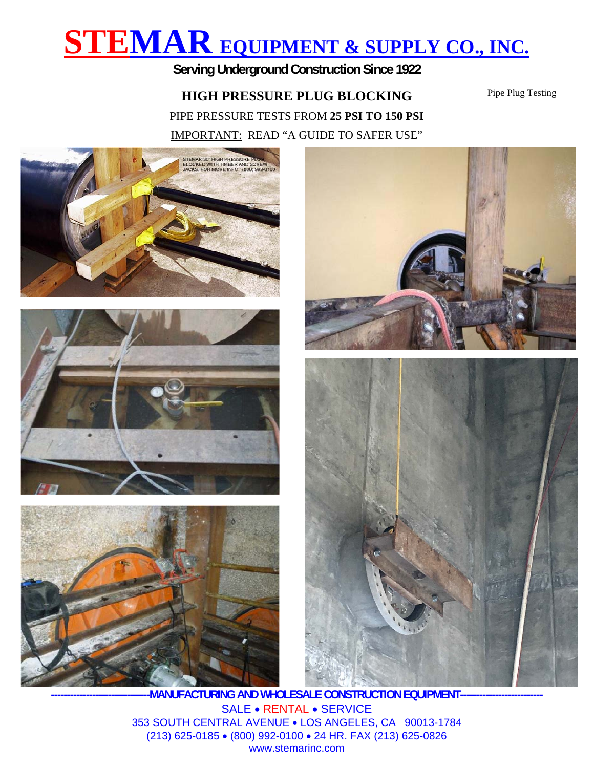**Serving Underground Construction Since 1922** 

#### **HIGH PRESSURE PLUG BLOCKING**

Pipe Plug Testing

PIPE PRESSURE TESTS FROM **25 PSI TO 150 PSI** IMPORTANT: READ "A GUIDE TO SAFER USE"



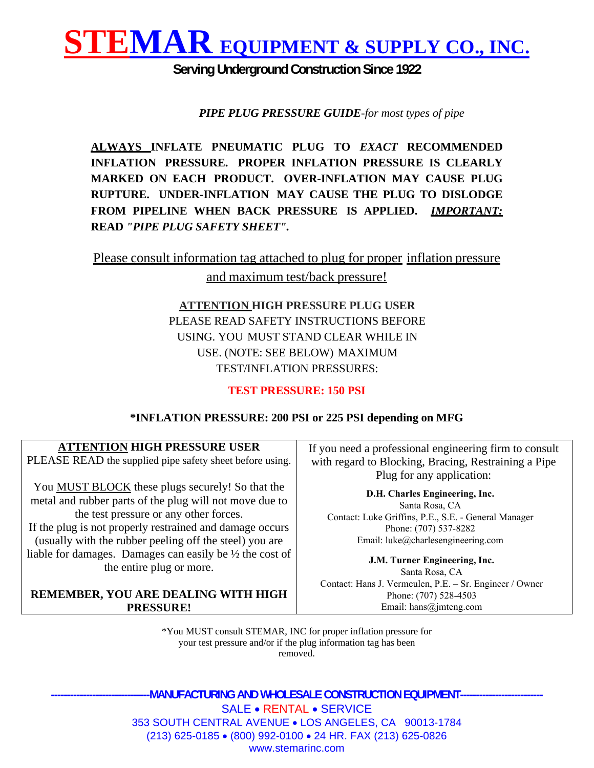

**Serving Underground Construction Since 1922** 

*PIPE PLUG PRESSURE GUIDE-for most types of pipe* 

**ALWAYS INFLATE PNEUMATIC PLUG TO** *EXACT* **RECOMMENDED INFLATION PRESSURE. PROPER INFLATION PRESSURE IS CLEARLY MARKED ON EACH PRODUCT. OVER-INFLATION MAY CAUSE PLUG RUPTURE. UNDER-INFLATION MAY CAUSE THE PLUG TO DISLODGE FROM PIPELINE WHEN BACK PRESSURE IS APPLIED.** *IMPORTANT:*  **READ** *"PIPE PLUG SAFETY SHEET".*

Please consult information tag attached to plug for proper inflation pressure

and maximum test/back pressure!

**ATTENTION HIGH PRESSURE PLUG USER**  PLEASE READ SAFETY INSTRUCTIONS BEFORE USING. YOU MUST STAND CLEAR WHILE IN USE. (NOTE: SEE BELOW) MAXIMUM TEST/INFLATION PRESSURES:

#### **TEST PRESSURE: 150 PSI**

#### **\*INFLATION PRESSURE: 200 PSI or 225 PSI depending on MFG**

| <b>ATTENTION HIGH PRESSURE USER</b> |                                                          |  |
|-------------------------------------|----------------------------------------------------------|--|
|                                     | PLEASE READ the supplied pipe safety sheet before using. |  |

You **MUST BLOCK** these plugs securely! So that the metal and rubber parts of the plug will not move due to the test pressure or any other forces.

If the plug is not properly restrained and damage occurs (usually with the rubber peeling off the steel) you are liable for damages. Damages can easily be ½ the cost of the entire plug or more.

#### **REMEMBER, YOU ARE DEALING WITH HIGH PRESSURE!**

If you need a professional engineering firm to consult with regard to Blocking, Bracing, Restraining a Pipe Plug for any application:

**D.H. Charles Engineering, Inc.** Santa Rosa, CA Contact: Luke Griffins, P.E., S.E. - General Manager Phone: (707) 537-8282 Email: luke@charlesengineering.com

**J.M. Turner Engineering, Inc.**  Santa Rosa, CA Contact: Hans J. Vermeulen, P.E. – Sr. Engineer / Owner Phone: (707) 528-4503 Email: hans@jmteng.com

\*You MUST consult STEMAR, INC for proper inflation pressure for your test pressure and/or if the plug information tag has been removed.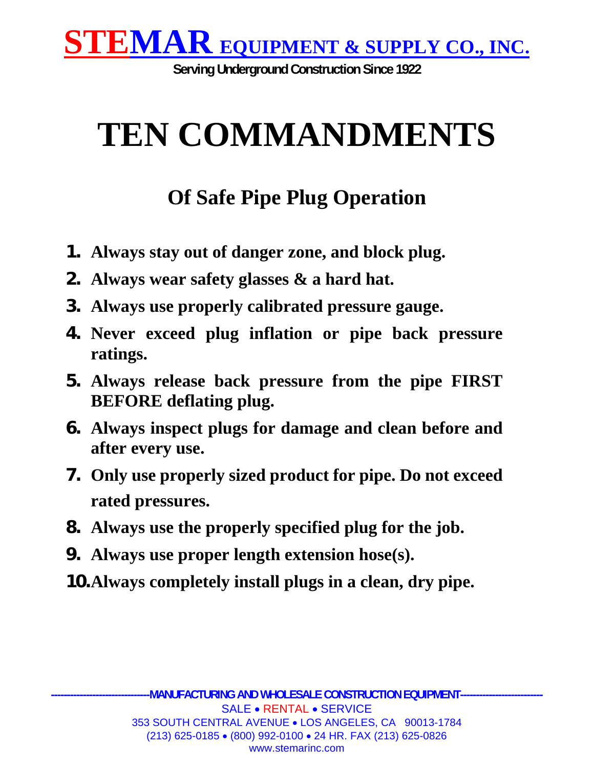

**Serving Underground Construction Since 1922** 

# **TEN COMMANDMENTS**

## **Of Safe Pipe Plug Operation**

- **1. Always stay out of danger zone, and block plug.**
- **2. Always wear safety glasses & a hard hat.**
- **3. Always use properly calibrated pressure gauge.**
- **4. Never exceed plug inflation or pipe back pressure ratings.**
- **5. Always release back pressure from the pipe FIRST BEFORE deflating plug.**
- **6. Always inspect plugs for damage and clean before and after every use.**
- **7. Only use properly sized product for pipe. Do not exceed rated pressures.**
- **8. Always use the properly specified plug for the job.**
- **9. Always use proper length extension hose(s).**
- **10.Always completely install plugs in a clean, dry pipe.**